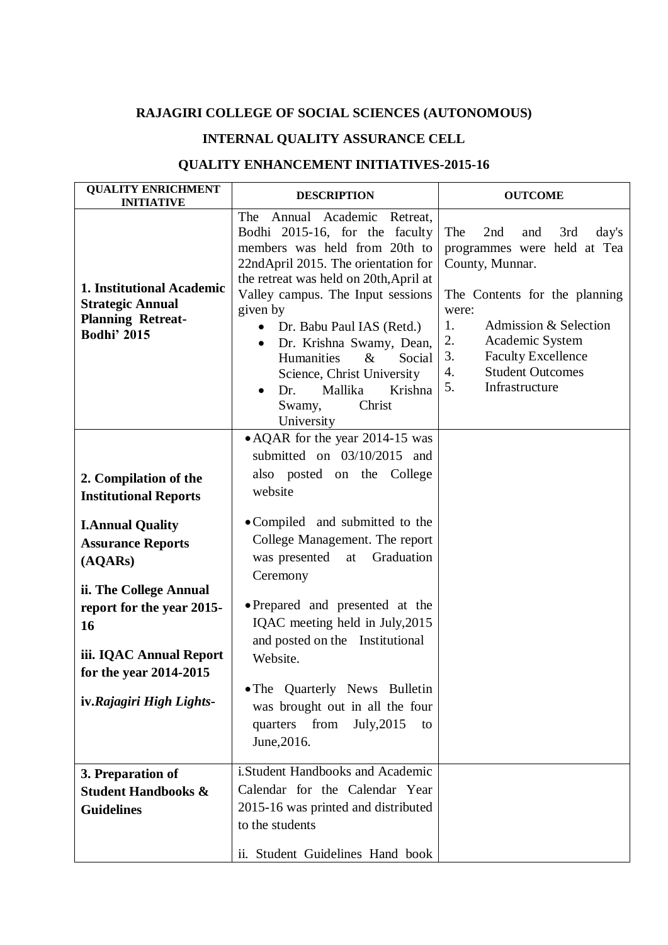## **RAJAGIRI COLLEGE OF SOCIAL SCIENCES (AUTONOMOUS)**

## **INTERNAL QUALITY ASSURANCE CELL**

## **QUALITY ENHANCEMENT INITIATIVES-2015-16**

| <b>QUALITY ENRICHMENT</b><br><b>INITIATIVE</b>                                                                                                                                                                                                                        | <b>DESCRIPTION</b>                                                                                                                                                                                                                                                                                                                                                                                                                                                           | <b>OUTCOME</b>                                                                                                                                                                                                                                                                    |
|-----------------------------------------------------------------------------------------------------------------------------------------------------------------------------------------------------------------------------------------------------------------------|------------------------------------------------------------------------------------------------------------------------------------------------------------------------------------------------------------------------------------------------------------------------------------------------------------------------------------------------------------------------------------------------------------------------------------------------------------------------------|-----------------------------------------------------------------------------------------------------------------------------------------------------------------------------------------------------------------------------------------------------------------------------------|
| 1. Institutional Academic<br><b>Strategic Annual</b><br><b>Planning Retreat-</b><br><b>Bodhi' 2015</b>                                                                                                                                                                | Annual Academic<br>The<br>Retreat.<br>Bodhi 2015-16, for the faculty<br>members was held from 20th to<br>22ndApril 2015. The orientation for<br>the retreat was held on 20th, April at<br>Valley campus. The Input sessions<br>given by<br>Dr. Babu Paul IAS (Retd.)<br>$\bullet$<br>Dr. Krishna Swamy, Dean,<br>$\bullet$<br>Humanities<br>$\&$<br>Social<br>Science, Christ University<br>Krishna<br>Mallika<br>Dr.<br>Christ<br>Swamy,<br>University                      | The<br>2nd<br>3rd<br>day's<br>and<br>programmes were held at Tea<br>County, Munnar.<br>The Contents for the planning<br>were:<br>Admission & Selection<br>1.<br>2.<br>Academic System<br>3.<br><b>Faculty Excellence</b><br><b>Student Outcomes</b><br>4.<br>5.<br>Infrastructure |
| 2. Compilation of the<br><b>Institutional Reports</b><br><b>I.Annual Quality</b><br><b>Assurance Reports</b><br>(AQARS)<br>ii. The College Annual<br>report for the year 2015-<br>16<br>iii. IQAC Annual Report<br>for the year 2014-2015<br>iv.Rajagiri High Lights- | • AQAR for the year 2014-15 was<br>submitted on $03/10/2015$ and<br>also posted on the College<br>website<br>• Compiled and submitted to the<br>College Management. The report<br>Graduation<br>was presented<br>at<br>Ceremony<br>• Prepared and presented at the<br>IQAC meeting held in July, 2015<br>and posted on the Institutional<br>Website.<br>. The Quarterly News Bulletin<br>was brought out in all the four<br>quarters from<br>July, 2015<br>to<br>June, 2016. |                                                                                                                                                                                                                                                                                   |
| 3. Preparation of<br><b>Student Handbooks &amp;</b><br><b>Guidelines</b>                                                                                                                                                                                              | i.Student Handbooks and Academic<br>Calendar for the Calendar Year<br>2015-16 was printed and distributed<br>to the students<br>ii. Student Guidelines Hand book                                                                                                                                                                                                                                                                                                             |                                                                                                                                                                                                                                                                                   |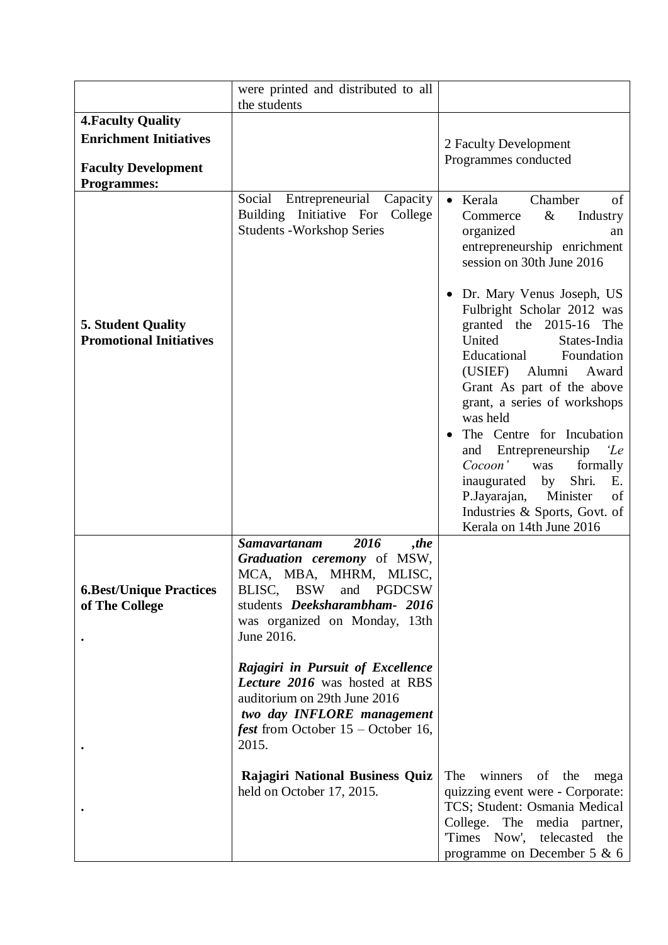|                                                                                                                | were printed and distributed to all<br>the students                                                                                                                                                   |                                                                                                                                                                                                                                                                                                                                                                                                                                                                                                                                                                                                                                                 |
|----------------------------------------------------------------------------------------------------------------|-------------------------------------------------------------------------------------------------------------------------------------------------------------------------------------------------------|-------------------------------------------------------------------------------------------------------------------------------------------------------------------------------------------------------------------------------------------------------------------------------------------------------------------------------------------------------------------------------------------------------------------------------------------------------------------------------------------------------------------------------------------------------------------------------------------------------------------------------------------------|
| <b>4. Faculty Quality</b><br><b>Enrichment Initiatives</b><br><b>Faculty Development</b><br><b>Programmes:</b> |                                                                                                                                                                                                       | 2 Faculty Development<br>Programmes conducted                                                                                                                                                                                                                                                                                                                                                                                                                                                                                                                                                                                                   |
| <b>5. Student Quality</b><br><b>Promotional Initiatives</b>                                                    | Social<br>Entrepreneurial<br>Capacity<br>Building Initiative For<br>College<br><b>Students - Workshop Series</b>                                                                                      | Kerala<br>Chamber<br>of<br>$\bullet$<br>$\&$<br>Industry<br>Commerce<br>organized<br>an<br>entrepreneurship enrichment<br>session on 30th June 2016<br>Dr. Mary Venus Joseph, US<br>Fulbright Scholar 2012 was<br>granted the 2015-16 The<br>United<br>States-India<br>Foundation<br>Educational<br>(USIEF) Alumni<br>Award<br>Grant As part of the above<br>grant, a series of workshops<br>was held<br>The Centre for Incubation<br>$\bullet$<br>Entrepreneurship<br>and<br>'Le<br>Cocoon'<br>formally<br>was<br>Shri.<br>inaugurated by<br>Ε.<br>Minister<br>P.Jayarajan,<br>of<br>Industries & Sports, Govt. of<br>Kerala on 14th June 2016 |
| <b>6.Best/Unique Practices</b><br>of The College                                                               | 2016<br><b>Samavartanam</b><br>,the<br>Graduation ceremony of MSW,<br>MCA, MBA, MHRM, MLISC,<br>BLISC, BSW and PGDCSW<br>students Deeksharambham- 2016<br>was organized on Monday, 13th<br>June 2016. |                                                                                                                                                                                                                                                                                                                                                                                                                                                                                                                                                                                                                                                 |
|                                                                                                                | Rajagiri in Pursuit of Excellence<br>Lecture 2016 was hosted at RBS<br>auditorium on 29th June 2016<br>two day <b>INFLORE</b> management<br><i>fest</i> from October $15$ – October 16,<br>2015.      |                                                                                                                                                                                                                                                                                                                                                                                                                                                                                                                                                                                                                                                 |
|                                                                                                                | <b>Rajagiri National Business Quiz</b><br>held on October 17, 2015.                                                                                                                                   | The<br>winners of<br>the<br>mega<br>quizzing event were - Corporate:<br>TCS; Student: Osmania Medical<br>College. The media partner,<br>Times Now', telecasted the<br>programme on December 5 & 6                                                                                                                                                                                                                                                                                                                                                                                                                                               |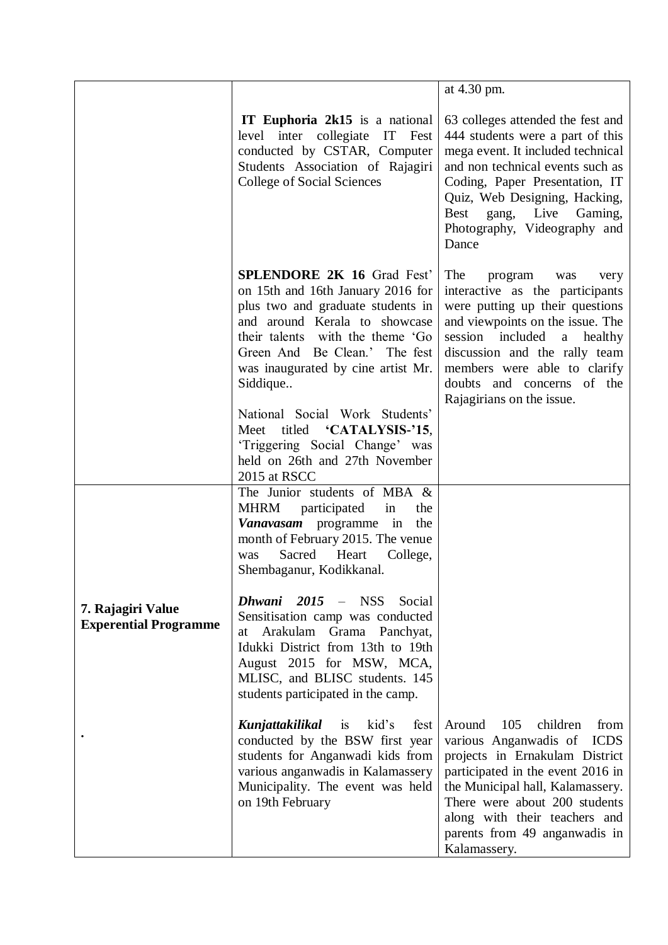|                                                   |                                                                                                                                                                                                                                                                     | at 4.30 pm.                                                                                                                                                                                                                                                                                          |
|---------------------------------------------------|---------------------------------------------------------------------------------------------------------------------------------------------------------------------------------------------------------------------------------------------------------------------|------------------------------------------------------------------------------------------------------------------------------------------------------------------------------------------------------------------------------------------------------------------------------------------------------|
|                                                   | <b>IT Euphoria 2k15</b> is a national<br>level inter collegiate IT Fest<br>conducted by CSTAR, Computer<br>Students Association of Rajagiri<br><b>College of Social Sciences</b>                                                                                    | 63 colleges attended the fest and<br>444 students were a part of this<br>mega event. It included technical<br>and non technical events such as<br>Coding, Paper Presentation, IT<br>Quiz, Web Designing, Hacking,<br>Best gang, Live Gaming,<br>Photography, Videography and<br>Dance                |
|                                                   | <b>SPLENDORE 2K 16 Grad Fest'</b><br>on 15th and 16th January 2016 for<br>plus two and graduate students in<br>and around Kerala to showcase<br>their talents with the theme 'Go<br>Green And Be Clean.' The fest<br>was inaugurated by cine artist Mr.<br>Siddique | The<br>program<br>very<br>was<br>interactive as the participants<br>were putting up their questions<br>and viewpoints on the issue. The<br>session included<br>a healthy<br>discussion and the rally team<br>members were able to clarify<br>doubts and concerns of the<br>Rajagirians on the issue. |
|                                                   | National Social Work Students'<br>Meet titled 'CATALYSIS-'15,<br>'Triggering Social Change' was<br>held on 26th and 27th November<br>2015 at RSCC                                                                                                                   |                                                                                                                                                                                                                                                                                                      |
|                                                   | The Junior students of MBA &<br><b>MHRM</b><br>participated<br>the<br>in<br>Vanavasam programme in the<br>month of February 2015. The venue<br>Sacred<br>Heart<br>College,<br>was<br>Shembaganur, Kodikkanal.                                                       |                                                                                                                                                                                                                                                                                                      |
| 7. Rajagiri Value<br><b>Experential Programme</b> | Dhwani 2015 - NSS Social<br>Sensitisation camp was conducted<br>Arakulam Grama Panchyat,<br>at<br>Idukki District from 13th to 19th<br>August 2015 for MSW, MCA,<br>MLISC, and BLISC students. 145<br>students participated in the camp.                            |                                                                                                                                                                                                                                                                                                      |
|                                                   | Kunjattakilikal<br>kid's<br>is<br>fest<br>conducted by the BSW first year<br>students for Anganwadi kids from<br>various anganwadis in Kalamassery<br>Municipality. The event was held<br>on 19th February                                                          | Around<br>105<br>children<br>from<br>various Anganwadis of ICDS<br>projects in Ernakulam District<br>participated in the event 2016 in<br>the Municipal hall, Kalamassery.<br>There were about 200 students<br>along with their teachers and<br>parents from 49 anganwadis in<br>Kalamassery.        |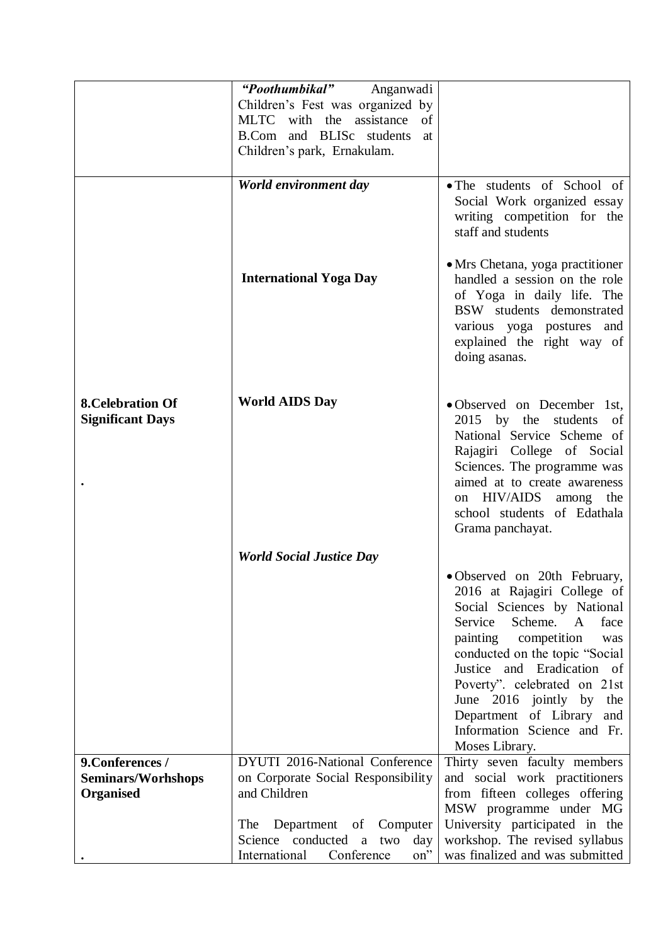|                                                     | "Poothumbikal" Anganwadi           |                                                                                                                                                                                                                                                                                                                                                                                            |
|-----------------------------------------------------|------------------------------------|--------------------------------------------------------------------------------------------------------------------------------------------------------------------------------------------------------------------------------------------------------------------------------------------------------------------------------------------------------------------------------------------|
|                                                     | Children's Fest was organized by   |                                                                                                                                                                                                                                                                                                                                                                                            |
|                                                     | MLTC with the assistance<br>of     |                                                                                                                                                                                                                                                                                                                                                                                            |
|                                                     | B.Com and BLISc students<br>at     |                                                                                                                                                                                                                                                                                                                                                                                            |
|                                                     | Children's park, Ernakulam.        |                                                                                                                                                                                                                                                                                                                                                                                            |
|                                                     |                                    |                                                                                                                                                                                                                                                                                                                                                                                            |
|                                                     | World environment day              | • The students of School of                                                                                                                                                                                                                                                                                                                                                                |
|                                                     |                                    | Social Work organized essay<br>writing competition for the<br>staff and students                                                                                                                                                                                                                                                                                                           |
|                                                     | <b>International Yoga Day</b>      | • Mrs Chetana, yoga practitioner<br>handled a session on the role<br>of Yoga in daily life. The<br>BSW students demonstrated<br>various yoga postures and<br>explained the right way of<br>doing asanas.                                                                                                                                                                                   |
| <b>8. Celebration Of</b><br><b>Significant Days</b> | <b>World AIDS Day</b>              | • Observed on December 1st,<br>2015 by the students<br>- of<br>National Service Scheme of<br>Rajagiri College of Social<br>Sciences. The programme was<br>aimed at to create awareness<br>on HIV/AIDS<br>among the<br>school students of Edathala<br>Grama panchayat.                                                                                                                      |
|                                                     | <b>World Social Justice Day</b>    |                                                                                                                                                                                                                                                                                                                                                                                            |
|                                                     |                                    | • Observed on 20th February,<br>2016 at Rajagiri College of<br>Social Sciences by National<br>Service<br>Scheme.<br>$\mathbf{A}$<br>face<br>competition<br>painting<br>was<br>conducted on the topic "Social<br>Justice and Eradication of<br>Poverty". celebrated on 21st<br>June 2016 jointly by<br>the<br>Department of Library<br>and<br>Information Science and Fr.<br>Moses Library. |
| 9. Conferences /                                    | DYUTI 2016-National Conference     | Thirty seven faculty members                                                                                                                                                                                                                                                                                                                                                               |
| <b>Seminars/Worhshops</b>                           | on Corporate Social Responsibility | and social work practitioners                                                                                                                                                                                                                                                                                                                                                              |
| <b>Organised</b>                                    | and Children                       | from fifteen colleges offering                                                                                                                                                                                                                                                                                                                                                             |
|                                                     |                                    | MSW programme under MG                                                                                                                                                                                                                                                                                                                                                                     |
|                                                     | Department of<br>The<br>Computer   | University participated in the                                                                                                                                                                                                                                                                                                                                                             |
|                                                     | Science conducted a two<br>day     | workshop. The revised syllabus                                                                                                                                                                                                                                                                                                                                                             |
|                                                     | Conference<br>International<br>on" | was finalized and was submitted                                                                                                                                                                                                                                                                                                                                                            |
|                                                     |                                    |                                                                                                                                                                                                                                                                                                                                                                                            |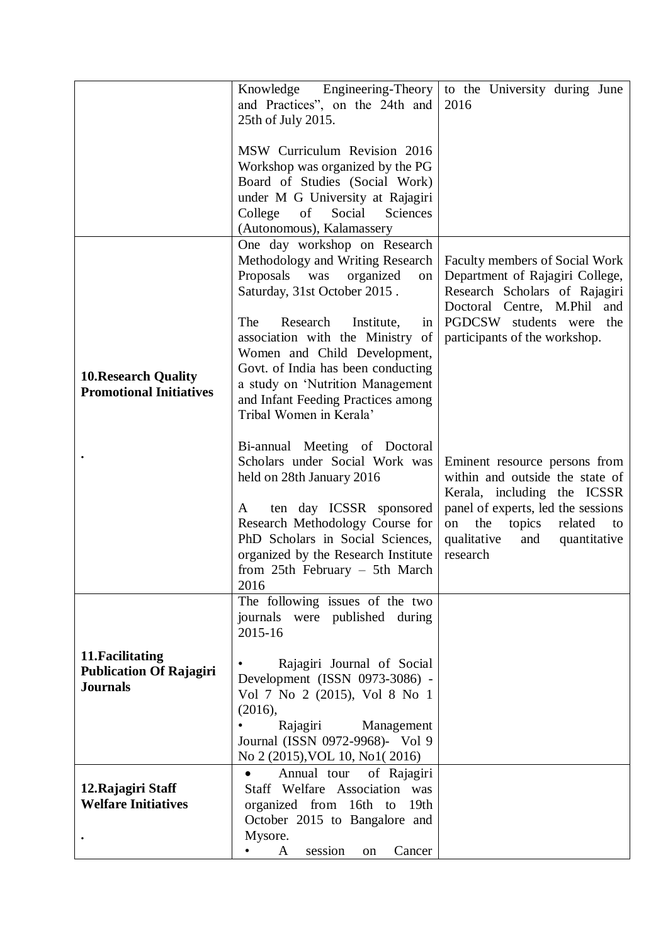|                                                                       | Knowledge Engineering-Theory                                                                                                                                                                                                                                                                                                                                                                            | to the University during June                                                                                                                                                                                                   |
|-----------------------------------------------------------------------|---------------------------------------------------------------------------------------------------------------------------------------------------------------------------------------------------------------------------------------------------------------------------------------------------------------------------------------------------------------------------------------------------------|---------------------------------------------------------------------------------------------------------------------------------------------------------------------------------------------------------------------------------|
|                                                                       | and Practices", on the 24th and<br>25th of July 2015.                                                                                                                                                                                                                                                                                                                                                   | 2016                                                                                                                                                                                                                            |
|                                                                       | MSW Curriculum Revision 2016<br>Workshop was organized by the PG<br>Board of Studies (Social Work)<br>under M G University at Rajagiri<br>College<br>Social<br>of<br>Sciences<br>(Autonomous), Kalamassery                                                                                                                                                                                              |                                                                                                                                                                                                                                 |
| <b>10. Research Quality</b><br><b>Promotional Initiatives</b>         | One day workshop on Research<br>Methodology and Writing Research<br>Proposals was<br>organized<br>on<br>Saturday, 31st October 2015.<br>The<br>Research<br>Institute,<br>in <sub>1</sub><br>association with the Ministry of<br>Women and Child Development,<br>Govt. of India has been conducting<br>a study on 'Nutrition Management<br>and Infant Feeding Practices among<br>Tribal Women in Kerala' | <b>Faculty members of Social Work</b><br>Department of Rajagiri College,<br>Research Scholars of Rajagiri<br>Doctoral Centre, M.Phil and<br>PGDCSW students were the<br>participants of the workshop.                           |
|                                                                       | Bi-annual Meeting of Doctoral<br>Scholars under Social Work was<br>held on 28th January 2016<br>ten day ICSSR sponsored<br>A<br>Research Methodology Course for<br>PhD Scholars in Social Sciences,<br>organized by the Research Institute<br>from $25th$ February - 5th March<br>2016                                                                                                                  | Eminent resource persons from<br>within and outside the state of<br>Kerala, including the ICSSR<br>panel of experts, led the sessions<br>the<br>related<br>topics<br>to<br>on<br>qualitative<br>and<br>quantitative<br>research |
|                                                                       | The following issues of the two<br>journals were published during<br>2015-16                                                                                                                                                                                                                                                                                                                            |                                                                                                                                                                                                                                 |
| 11. Facilitating<br><b>Publication Of Rajagiri</b><br><b>Journals</b> | Rajagiri Journal of Social<br>Development (ISSN 0973-3086) -<br>Vol 7 No 2 (2015), Vol 8 No 1<br>(2016),<br>Rajagiri<br>Management<br>Journal (ISSN 0972-9968)- Vol 9<br>No 2 (2015), VOL 10, No1(2016)                                                                                                                                                                                                 |                                                                                                                                                                                                                                 |
| 12. Rajagiri Staff<br><b>Welfare Initiatives</b>                      | Annual tour<br>of Rajagiri<br>$\bullet$<br>Staff Welfare Association was<br>organized from 16th to<br>19th<br>October 2015 to Bangalore and<br>Mysore.<br>session<br>Cancer<br>A<br>on                                                                                                                                                                                                                  |                                                                                                                                                                                                                                 |